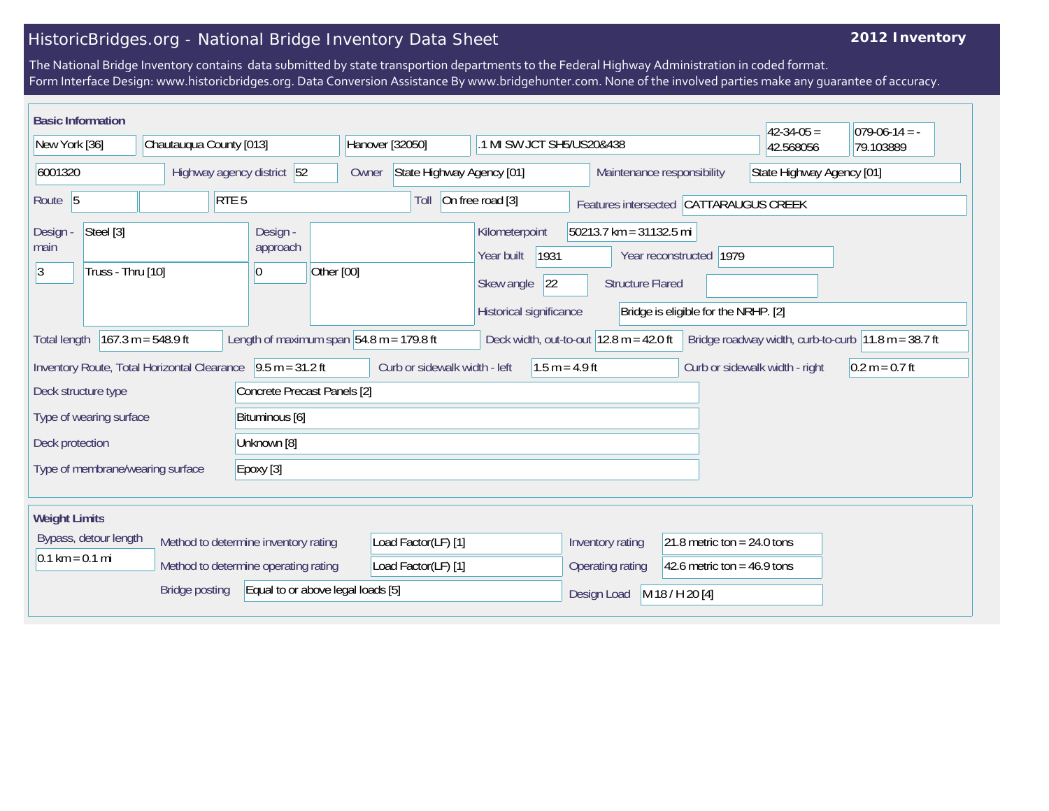## HistoricBridges.org - National Bridge Inventory Data Sheet

## **2012 Inventory**

The National Bridge Inventory contains data submitted by state transportion departments to the Federal Highway Administration in coded format. Form Interface Design: www.historicbridges.org. Data Conversion Assistance By www.bridgehunter.com. None of the involved parties make any guarantee of accuracy.

| <b>Basic Information</b>                                                                                                                                                                                                            |                         |                                         |                                                         |                                                                                      |                                                    |                                                                 | $42 - 34 - 05 =$ | $ 079-06-14 = -$ |  |
|-------------------------------------------------------------------------------------------------------------------------------------------------------------------------------------------------------------------------------------|-------------------------|-----------------------------------------|---------------------------------------------------------|--------------------------------------------------------------------------------------|----------------------------------------------------|-----------------------------------------------------------------|------------------|------------------|--|
| New York [36]                                                                                                                                                                                                                       | Chautauqua County [013] |                                         | Hanover [32050]                                         | .1 MI SW JCT SH5/US20&438                                                            |                                                    |                                                                 | 42.568056        | 79.103889        |  |
| 6001320<br>Highway agency district 52                                                                                                                                                                                               |                         | Owner                                   | State Highway Agency [01]<br>Maintenance responsibility |                                                                                      |                                                    | State Highway Agency [01]                                       |                  |                  |  |
| Route 5                                                                                                                                                                                                                             |                         | RTE <sub>5</sub>                        | Toll                                                    | On free road [3]                                                                     |                                                    | Features intersected CATTARAUGUS CREEK                          |                  |                  |  |
| Steel [3]<br>Design -<br>main<br> 3<br>Truss - Thru [10]                                                                                                                                                                            |                         | Design -<br>approach<br>Other [00]<br>0 |                                                         | Kilometerpoint<br>1931<br>Year built<br> 22<br>Skew angle<br>Historical significance | 50213.7 km = 31132.5 mi<br><b>Structure Flared</b> | Year reconstructed 1979<br>Bridge is eligible for the NRHP. [2] |                  |                  |  |
| $167.3 m = 548.9 ft$<br>Length of maximum span $ 54.8 \text{ m} = 179.8 \text{ ft} $<br>Deck width, out-to-out $12.8$ m = 42.0 ft<br>Bridge roadway width, curb-to-curb $ 11.8 \text{ m} = 38.7 \text{ ft} $<br><b>Total length</b> |                         |                                         |                                                         |                                                                                      |                                                    |                                                                 |                  |                  |  |
| $9.5 m = 31.2 ft$<br>Inventory Route, Total Horizontal Clearance<br>Curb or sidewalk width - left<br>$1.5 m = 4.9 ft$<br>Curb or sidewalk width - right                                                                             |                         |                                         |                                                         | $0.2 m = 0.7 ft$                                                                     |                                                    |                                                                 |                  |                  |  |
| Concrete Precast Panels [2]<br>Deck structure type                                                                                                                                                                                  |                         |                                         |                                                         |                                                                                      |                                                    |                                                                 |                  |                  |  |
| Type of wearing surface                                                                                                                                                                                                             |                         | Bituminous [6]                          |                                                         |                                                                                      |                                                    |                                                                 |                  |                  |  |
| Deck protection                                                                                                                                                                                                                     |                         | Unknown [8]                             |                                                         |                                                                                      |                                                    |                                                                 |                  |                  |  |
| Type of membrane/wearing surface<br>Epoxy [3]                                                                                                                                                                                       |                         |                                         |                                                         |                                                                                      |                                                    |                                                                 |                  |                  |  |
| <b>Weight Limits</b>                                                                                                                                                                                                                |                         |                                         |                                                         |                                                                                      |                                                    |                                                                 |                  |                  |  |
| Bypass, detour length<br>Method to determine inventory rating                                                                                                                                                                       |                         |                                         | Load Factor(LF) [1]                                     |                                                                                      | Inventory rating                                   | 21.8 metric ton = $24.0$ tons                                   |                  |                  |  |
| $0.1 \text{ km} = 0.1 \text{ mi}$<br>Method to determine operating rating                                                                                                                                                           |                         | Load Factor(LF) [1]                     |                                                         | Operating rating                                                                     | 42.6 metric ton = $46.9$ tons                      |                                                                 |                  |                  |  |
| <b>Bridge posting</b><br>Equal to or above legal loads [5]                                                                                                                                                                          |                         |                                         |                                                         |                                                                                      | Design Load                                        | M 18 / H 20 [4]                                                 |                  |                  |  |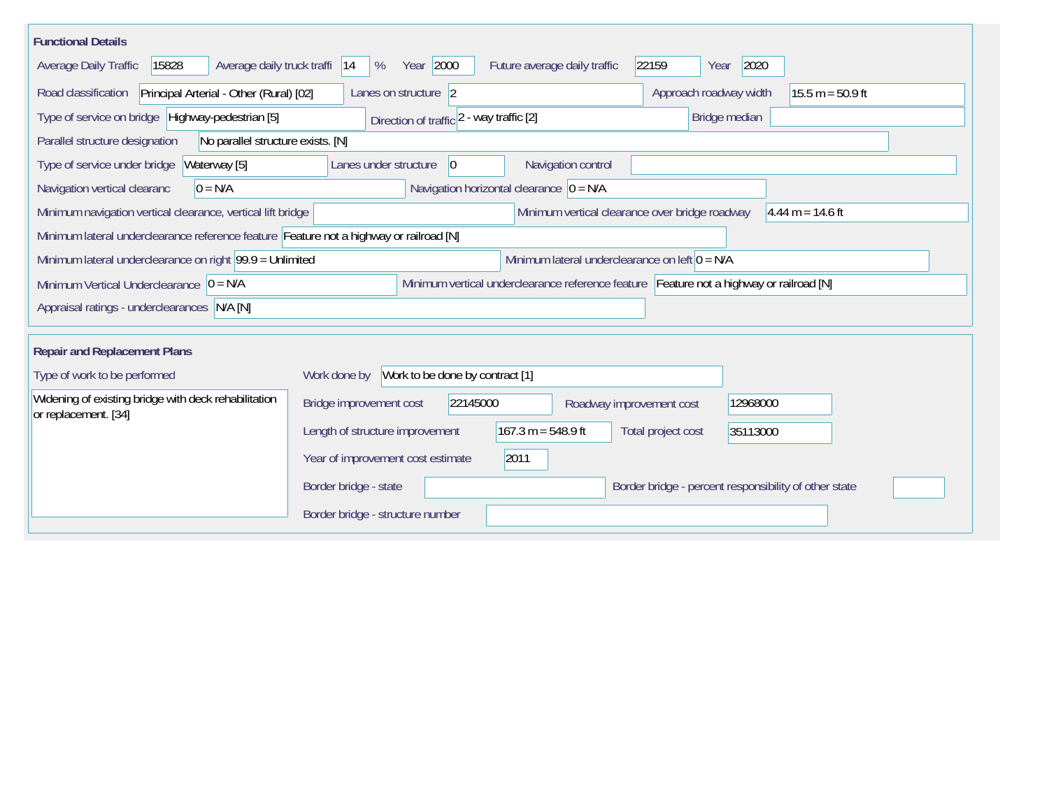| <b>Functional Details</b>                                                                                                             |                                                                                           |  |  |  |  |  |  |
|---------------------------------------------------------------------------------------------------------------------------------------|-------------------------------------------------------------------------------------------|--|--|--|--|--|--|
| 15828<br>Average daily truck traffi<br>Average Daily Traffic                                                                          | Year 2000<br>22159<br>2020<br>Future average daily traffic<br> 14<br>%<br>Year            |  |  |  |  |  |  |
| Road classification<br>Principal Arterial - Other (Rural) [02]                                                                        | Approach roadway width<br>$15.5 m = 50.9 ft$<br>Lanes on structure 2                      |  |  |  |  |  |  |
| Type of service on bridge Highway-pedestrian [5]                                                                                      | Bridge median<br>Direction of traffic 2 - way traffic [2]                                 |  |  |  |  |  |  |
| Parallel structure designation<br>No parallel structure exists. [N]                                                                   |                                                                                           |  |  |  |  |  |  |
| Waterway [5]<br>Type of service under bridge                                                                                          | Navigation control<br>Lanes under structure<br>$ 0\rangle$                                |  |  |  |  |  |  |
| $0 = N/A$<br>Navigation vertical clearanc                                                                                             | Navigation horizontal clearance $ 0 = N/A$                                                |  |  |  |  |  |  |
| Minimum navigation vertical clearance, vertical lift bridge                                                                           | Minimum vertical clearance over bridge roadway<br>$4.44 m = 14.6 ft$                      |  |  |  |  |  |  |
|                                                                                                                                       | Minimum lateral underclearance reference feature Feature not a highway or railroad [N]    |  |  |  |  |  |  |
| Minimum lateral underclearance on right 99.9 = Unlimited<br>Minimum lateral underclearance on left $0 = N/A$                          |                                                                                           |  |  |  |  |  |  |
| Minimum vertical underclearance reference feature Feature not a highway or railroad [N]<br>Minimum Vertical Underclearance $ 0 = N/A$ |                                                                                           |  |  |  |  |  |  |
| Appraisal ratings - underclearances N/A [N]                                                                                           |                                                                                           |  |  |  |  |  |  |
|                                                                                                                                       |                                                                                           |  |  |  |  |  |  |
| <b>Repair and Replacement Plans</b>                                                                                                   |                                                                                           |  |  |  |  |  |  |
| Type of work to be performed                                                                                                          | Work to be done by contract [1]<br>Work done by                                           |  |  |  |  |  |  |
| Widening of existing bridge with deck rehabilitation<br>or replacement. [34]                                                          | 22145000<br>Bridge improvement cost<br>12968000<br>Roadway improvement cost               |  |  |  |  |  |  |
|                                                                                                                                       | $167.3 m = 548.9 ft$<br>Length of structure improvement<br>Total project cost<br>35113000 |  |  |  |  |  |  |
|                                                                                                                                       | 2011<br>Year of improvement cost estimate                                                 |  |  |  |  |  |  |
|                                                                                                                                       | Border bridge - state<br>Border bridge - percent responsibility of other state            |  |  |  |  |  |  |
|                                                                                                                                       | Border bridge - structure number                                                          |  |  |  |  |  |  |